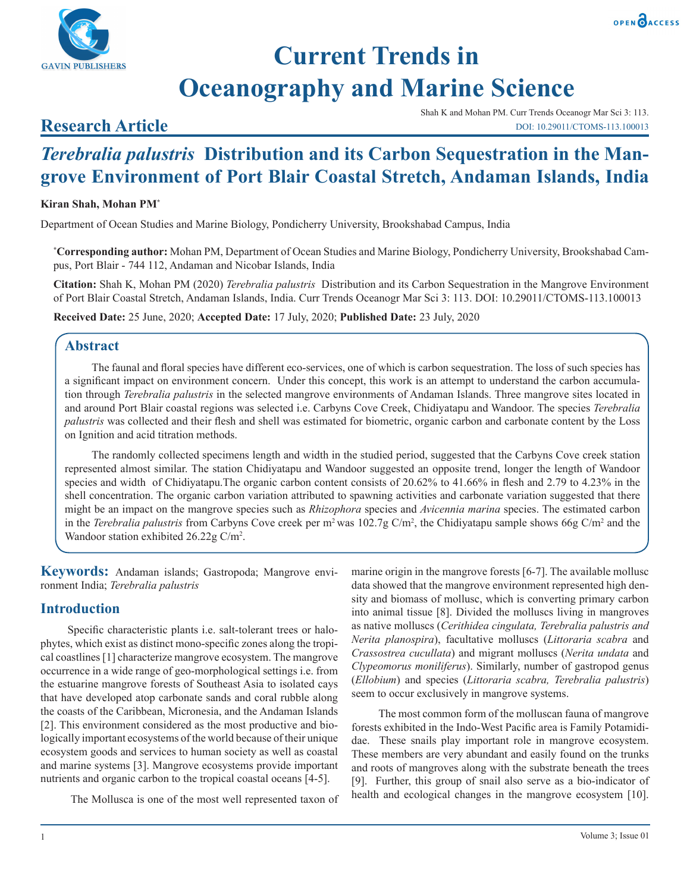



# **Current Trends in Oceanography and Marine Science**

### **Research Article**

Shah K and Mohan PM. Curr Trends Oceanogr Mar Sci 3: 113. DOI: 10.29011/CTOMS-113.100013

## *Terebralia palustris* **Distribution and its Carbon Sequestration in the Mangrove Environment of Port Blair Coastal Stretch, Andaman Islands, India**

#### **Kiran Shah, Mohan PM\***

Department of Ocean Studies and Marine Biology, Pondicherry University, Brookshabad Campus, India

**\* Corresponding author:** Mohan PM, Department of Ocean Studies and Marine Biology, Pondicherry University, Brookshabad Campus, Port Blair - 744 112, Andaman and Nicobar Islands, India

**Citation:** Shah K, Mohan PM (2020) *Terebralia palustris* Distribution and its Carbon Sequestration in the Mangrove Environment of Port Blair Coastal Stretch, Andaman Islands, India. Curr Trends Oceanogr Mar Sci 3: 113. DOI: 10.29011/CTOMS-113.100013

**Received Date:** 25 June, 2020; **Accepted Date:** 17 July, 2020; **Published Date:** 23 July, 2020

#### **Abstract**

The faunal and floral species have different eco-services, one of which is carbon sequestration. The loss of such species has a significant impact on environment concern. Under this concept, this work is an attempt to understand the carbon accumulation through *Terebralia palustris* in the selected mangrove environments of Andaman Islands. Three mangrove sites located in and around Port Blair coastal regions was selected i.e. Carbyns Cove Creek, Chidiyatapu and Wandoor. The species *Terebralia palustris* was collected and their flesh and shell was estimated for biometric, organic carbon and carbonate content by the Loss on Ignition and acid titration methods.

The randomly collected specimens length and width in the studied period, suggested that the Carbyns Cove creek station represented almost similar. The station Chidiyatapu and Wandoor suggested an opposite trend, longer the length of Wandoor species and width of Chidiyatapu.The organic carbon content consists of 20.62% to 41.66% in flesh and 2.79 to 4.23% in the shell concentration. The organic carbon variation attributed to spawning activities and carbonate variation suggested that there might be an impact on the mangrove species such as *Rhizophora* species and *Avicennia marina* species. The estimated carbon in the *Terebralia palustris* from Carbyns Cove creek per  $m^2$  was 102.7g C/m<sup>2</sup>, the Chidiyatapu sample shows 66g C/m<sup>2</sup> and the Wandoor station exhibited 26.22g C/m<sup>2</sup>.

**Keywords:** Andaman islands; Gastropoda; Mangrove environment India; *Terebralia palustris*

#### **Introduction**

Specific characteristic plants i.e. salt-tolerant trees or halophytes, which exist as distinct mono-specific zones along the tropical coastlines [1] characterize mangrove ecosystem. The mangrove occurrence in a wide range of geo-morphological settings i.e. from the estuarine mangrove forests of Southeast Asia to isolated cays that have developed atop carbonate sands and coral rubble along the coasts of the Caribbean, Micronesia, and the Andaman Islands [2]. This environment considered as the most productive and biologically important ecosystems of the world because of their unique ecosystem goods and services to human society as well as coastal and marine systems [3]. Mangrove ecosystems provide important nutrients and organic carbon to the tropical coastal oceans [4-5].

The Mollusca is one of the most well represented taxon of

marine origin in the mangrove forests [6-7]. The available mollusc data showed that the mangrove environment represented high density and biomass of mollusc, which is converting primary carbon into animal tissue [8]. Divided the molluscs living in mangroves as native molluscs (*Cerithidea cingulata, Terebralia palustris and Nerita planospira*), facultative molluscs (*Littoraria scabra* and *Crassostrea cucullata*) and migrant molluscs (*Nerita undata* and *Clypeomorus moniliferus*). Similarly, number of gastropod genus (*Ellobium*) and species (*Littoraria scabra, Terebralia palustris*) seem to occur exclusively in mangrove systems.

The most common form of the molluscan fauna of mangrove forests exhibited in the Indo-West Pacific area is Family Potamididae. These snails play important role in mangrove ecosystem. These members are very abundant and easily found on the trunks and roots of mangroves along with the substrate beneath the trees [9]. Further, this group of snail also serve as a bio-indicator of health and ecological changes in the mangrove ecosystem [10].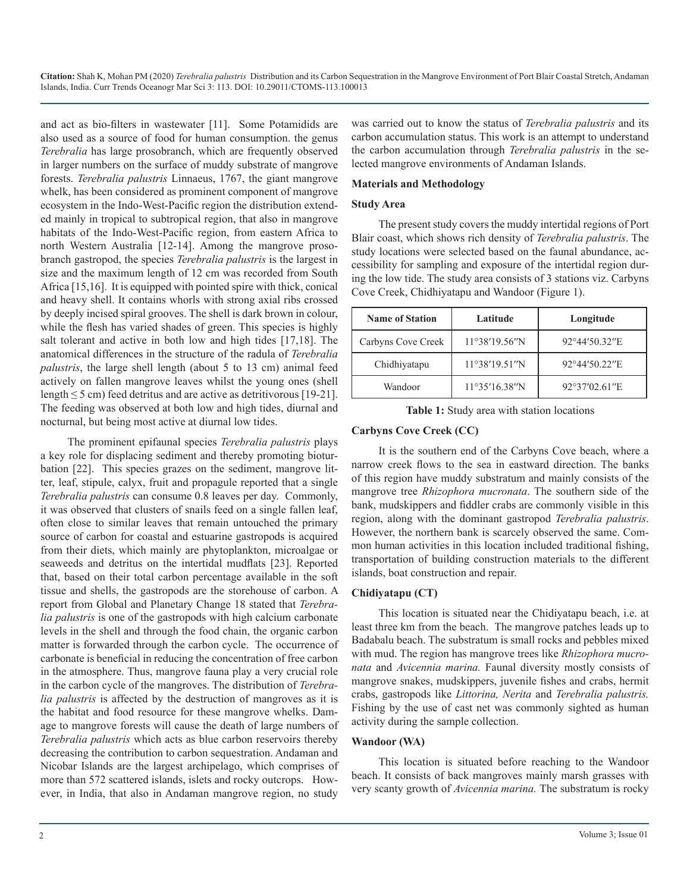and act as bio-filters in wastewater [11]. Some Potamidids are also used as a source of food for human consumption. the genus *Terebralia* has large prosobranch, which are frequently observed in larger numbers on the surface of muddy substrate of mangrove forests. *Terebralia palustris* Linnaeus, 1767, the giant mangrove whelk, has been considered as prominent component of mangrove ecosystem in the Indo-West-Pacific region the distribution extended mainly in tropical to subtropical region, that also in mangrove habitats of the Indo-West-Pacific region, from eastern Africa to north Western Australia [12-14]. Among the mangrove prosobranch gastropod, the species *Terebralia palustris* is the largest in size and the maximum length of 12 cm was recorded from South Africa [15,16]. It is equipped with pointed spire with thick, conical and heavy shell. It contains whorls with strong axial ribs crossed by deeply incised spiral grooves. The shell is dark brown in colour, while the flesh has varied shades of green. This species is highly salt tolerant and active in both low and high tides [17,18]. The anatomical differences in the structure of the radula of *Terebralia palustris*, the large shell length (about 5 to 13 cm) animal feed actively on fallen mangrove leaves whilst the young ones (shell length  $\leq$  5 cm) feed detritus and are active as detritivorous [19-21]. The feeding was observed at both low and high tides, diurnal and nocturnal, but being most active at diurnal low tides.

The prominent epifaunal species *Terebralia palustris* plays a key role for displacing sediment and thereby promoting bioturbation [22]. This species grazes on the sediment, mangrove litter, leaf, stipule, calyx, fruit and propagule reported that a single *Terebralia palustris* can consume 0.8 leaves per day. Commonly, it was observed that clusters of snails feed on a single fallen leaf, often close to similar leaves that remain untouched the primary source of carbon for coastal and estuarine gastropods is acquired from their diets, which mainly are phytoplankton, microalgae or seaweeds and detritus on the intertidal mudflats [23]. Reported that, based on their total carbon percentage available in the soft tissue and shells, the gastropods are the storehouse of carbon. A report from Global and Planetary Change 18 stated that *Terebralia palustris* is one of the gastropods with high calcium carbonate levels in the shell and through the food chain, the organic carbon matter is forwarded through the carbon cycle. The occurrence of carbonate is beneficial in reducing the concentration of free carbon in the atmosphere. Thus, mangrove fauna play a very crucial role in the carbon cycle of the mangroves. The distribution of *Terebralia palustris* is affected by the destruction of mangroves as it is the habitat and food resource for these mangrove whelks. Damage to mangrove forests will cause the death of large numbers of *Terebralia palustris* which acts as blue carbon reservoirs thereby decreasing the contribution to carbon sequestration. Andaman and Nicobar Islands are the largest archipelago, which comprises of more than 572 scattered islands, islets and rocky outcrops. However, in India, that also in Andaman mangrove region, no study

was carried out to know the status of *Terebralia palustris* and its carbon accumulation status. This work is an attempt to understand the carbon accumulation through *Terebralia palustris* in the selected mangrove environments of Andaman Islands.

#### **Materials and Methodology**

#### **Study Area**

The present study covers the muddy intertidal regions of Port Blair coast, which shows rich density of *Terebralia palustris*. The study locations were selected based on the faunal abundance, accessibility for sampling and exposure of the intertidal region during the low tide. The study area consists of 3 stations viz. Carbyns Cove Creek, Chidhiyatapu and Wandoor (Figure 1).

| <b>Name of Station</b> | Latitude      | Longitude     |  |
|------------------------|---------------|---------------|--|
| Carbyns Cove Creek     | 11°38'19.56"N | 92°44'50.32"E |  |
| Chidhiyatapu           | 11°38'19.51"N | 92°44'50.22"E |  |
| Wandoor                | 11°35'16.38"N | 92°37'02.61"E |  |

**Table 1:** Study area with station locations

#### **Carbyns Cove Creek (CC)**

It is the southern end of the Carbyns Cove beach, where a narrow creek flows to the sea in eastward direction. The banks of this region have muddy substratum and mainly consists of the mangrove tree *Rhizophora mucronata*. The southern side of the bank, mudskippers and fiddler crabs are commonly visible in this region, along with the dominant gastropod *Terebralia palustris*. However, the northern bank is scarcely observed the same. Common human activities in this location included traditional fishing, transportation of building construction materials to the different islands, boat construction and repair.

#### **Chidiyatapu (CT)**

This location is situated near the Chidiyatapu beach, i.e. at least three km from the beach. The mangrove patches leads up to Badabalu beach. The substratum is small rocks and pebbles mixed with mud. The region has mangrove trees like *Rhizophora mucronata* and *Avicennia marina.* Faunal diversity mostly consists of mangrove snakes, mudskippers, juvenile fishes and crabs, hermit crabs, gastropods like *Littorina, Nerita* and *Terebralia palustris.* Fishing by the use of cast net was commonly sighted as human activity during the sample collection.

#### **Wandoor (WA)**

This location is situated before reaching to the Wandoor beach. It consists of back mangroves mainly marsh grasses with very scanty growth of *Avicennia marina.* The substratum is rocky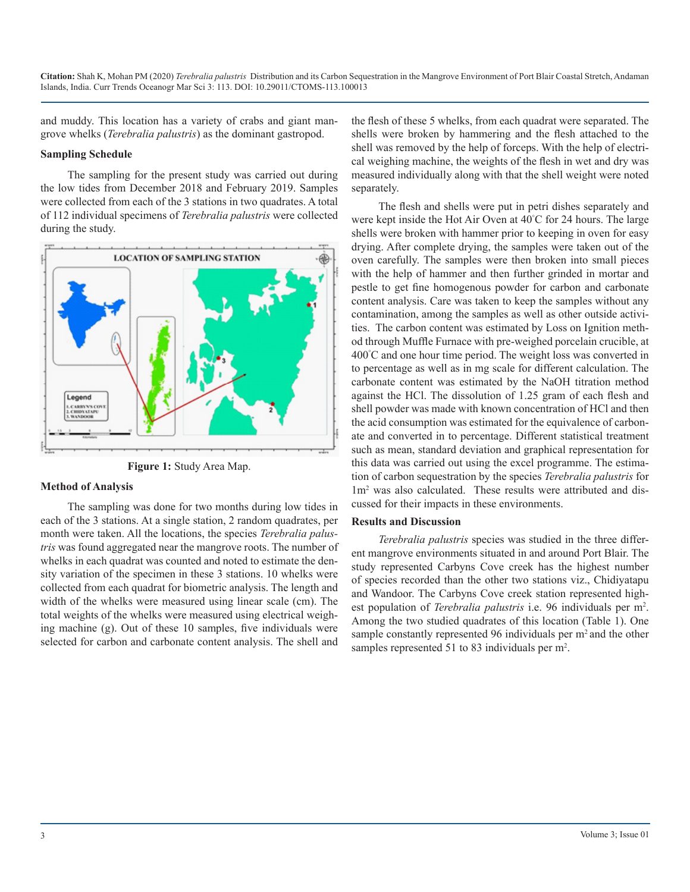and muddy. This location has a variety of crabs and giant mangrove whelks (*Terebralia palustris*) as the dominant gastropod.

#### **Sampling Schedule**

The sampling for the present study was carried out during the low tides from December 2018 and February 2019. Samples were collected from each of the 3 stations in two quadrates. A total of 112 individual specimens of *Terebralia palustris* were collected during the study.



**Figure 1:** Study Area Map.

#### **Method of Analysis**

The sampling was done for two months during low tides in each of the 3 stations. At a single station, 2 random quadrates, per month were taken. All the locations, the species *Terebralia palustris* was found aggregated near the mangrove roots. The number of whelks in each quadrat was counted and noted to estimate the density variation of the specimen in these 3 stations. 10 whelks were collected from each quadrat for biometric analysis. The length and width of the whelks were measured using linear scale (cm). The total weights of the whelks were measured using electrical weighing machine (g). Out of these 10 samples, five individuals were selected for carbon and carbonate content analysis. The shell and

the flesh of these 5 whelks, from each quadrat were separated. The shells were broken by hammering and the flesh attached to the shell was removed by the help of forceps. With the help of electrical weighing machine, the weights of the flesh in wet and dry was measured individually along with that the shell weight were noted separately.

The flesh and shells were put in petri dishes separately and were kept inside the Hot Air Oven at 40° C for 24 hours. The large shells were broken with hammer prior to keeping in oven for easy drying. After complete drying, the samples were taken out of the oven carefully. The samples were then broken into small pieces with the help of hammer and then further grinded in mortar and pestle to get fine homogenous powder for carbon and carbonate content analysis. Care was taken to keep the samples without any contamination, among the samples as well as other outside activities. The carbon content was estimated by Loss on Ignition method through Muffle Furnace with pre-weighed porcelain crucible, at 400° C and one hour time period. The weight loss was converted in to percentage as well as in mg scale for different calculation. The carbonate content was estimated by the NaOH titration method against the HCl. The dissolution of 1.25 gram of each flesh and shell powder was made with known concentration of HCl and then the acid consumption was estimated for the equivalence of carbonate and converted in to percentage. Different statistical treatment such as mean, standard deviation and graphical representation for this data was carried out using the excel programme. The estimation of carbon sequestration by the species *Terebralia palustris* for 1m2 was also calculated. These results were attributed and discussed for their impacts in these environments.

#### **Results and Discussion**

*Terebralia palustris* species was studied in the three different mangrove environments situated in and around Port Blair. The study represented Carbyns Cove creek has the highest number of species recorded than the other two stations viz., Chidiyatapu and Wandoor. The Carbyns Cove creek station represented highest population of *Terebralia palustris* i.e. 96 individuals per m<sup>2</sup> . Among the two studied quadrates of this location (Table 1). One sample constantly represented 96 individuals per m<sup>2</sup> and the other samples represented 51 to 83 individuals per m<sup>2</sup>.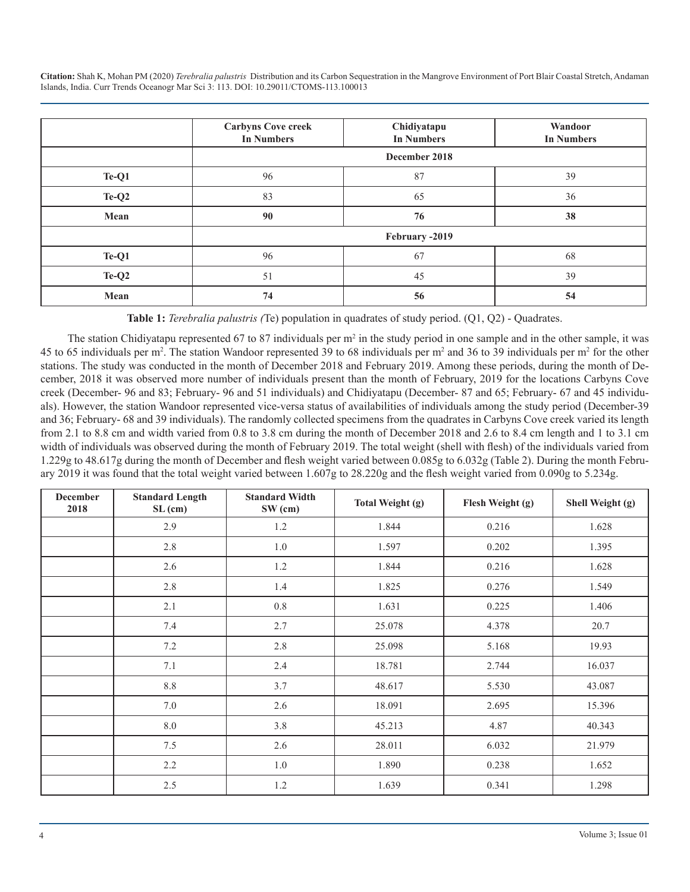|         | <b>Carbyns Cove creek</b><br><b>In Numbers</b> | Chidiyatapu<br><b>In Numbers</b> | Wandoor<br><b>In Numbers</b> |
|---------|------------------------------------------------|----------------------------------|------------------------------|
|         |                                                | December 2018                    |                              |
| Te-Q1   | 96                                             | 87                               | 39                           |
| $Te-Q2$ | 83                                             | 65                               | 36                           |
| Mean    | 90                                             | 76                               | 38                           |
|         |                                                | February -2019                   |                              |
| Te-Q1   | 96                                             | 67                               | 68                           |
| $Te-Q2$ | 51                                             | 45                               | 39                           |
| Mean    | 74                                             | 56                               | 54                           |

**Table 1:** *Terebralia palustris (*Te) population in quadrates of study period. (Q1, Q2) - Quadrates.

The station Chidiyatapu represented 67 to 87 individuals per  $m^2$  in the study period in one sample and in the other sample, it was 45 to 65 individuals per m<sup>2</sup>. The station Wandoor represented 39 to 68 individuals per m<sup>2</sup> and 36 to 39 individuals per m<sup>2</sup> for the other stations. The study was conducted in the month of December 2018 and February 2019. Among these periods, during the month of December, 2018 it was observed more number of individuals present than the month of February, 2019 for the locations Carbyns Cove creek (December- 96 and 83; February- 96 and 51 individuals) and Chidiyatapu (December- 87 and 65; February- 67 and 45 individuals). However, the station Wandoor represented vice-versa status of availabilities of individuals among the study period (December-39 and 36; February- 68 and 39 individuals). The randomly collected specimens from the quadrates in Carbyns Cove creek varied its length from 2.1 to 8.8 cm and width varied from 0.8 to 3.8 cm during the month of December 2018 and 2.6 to 8.4 cm length and 1 to 3.1 cm width of individuals was observed during the month of February 2019. The total weight (shell with flesh) of the individuals varied from 1.229g to 48.617g during the month of December and flesh weight varied between 0.085g to 6.032g (Table 2). During the month February 2019 it was found that the total weight varied between 1.607g to 28.220g and the flesh weight varied from 0.090g to 5.234g.

| <b>December</b><br>2018 | <b>Standard Length</b><br>SL (cm) | <b>Standard Width</b><br>SW (cm) | Total Weight (g) | Flesh Weight (g) | Shell Weight (g) |
|-------------------------|-----------------------------------|----------------------------------|------------------|------------------|------------------|
|                         | 2.9                               | 1.2                              | 1.844            | 0.216            | 1.628            |
|                         | 2.8                               | 1.0                              | 1.597            | 0.202            | 1.395            |
|                         | 2.6                               | 1.2                              | 1.844            | 0.216            | 1.628            |
|                         | 2.8                               | 1.4                              | 1.825            | 0.276            | 1.549            |
|                         | 2.1                               | $0.8\,$                          | 1.631            | 0.225            | 1.406            |
|                         | 7.4                               | 2.7                              | 25.078           | 4.378            | 20.7             |
|                         | 7.2                               | 2.8                              | 25.098           | 5.168            | 19.93            |
|                         | 7.1                               | 2.4                              | 18.781           | 2.744            | 16.037           |
|                         | $8.8\,$                           | 3.7                              | 48.617           | 5.530            | 43.087           |
|                         | 7.0                               | 2.6                              | 18.091           | 2.695            | 15.396           |
|                         | 8.0                               | 3.8                              | 45.213           | 4.87             | 40.343           |
|                         | 7.5                               | 2.6                              | 28.011           | 6.032            | 21.979           |
|                         | 2.2                               | 1.0                              | 1.890            | 0.238            | 1.652            |
|                         | 2.5                               | 1.2                              | 1.639            | 0.341            | 1.298            |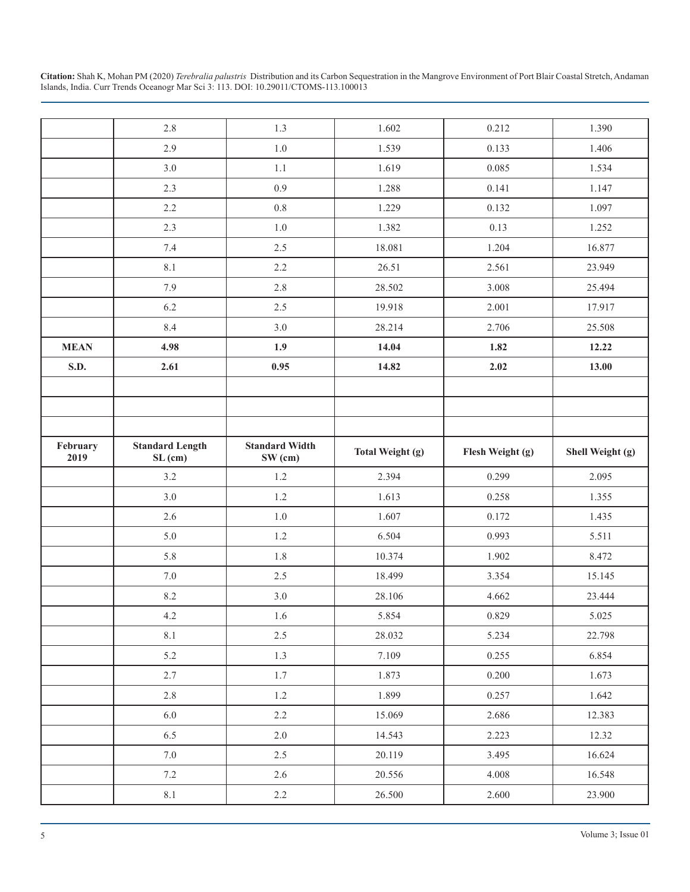|                  | 2.8                               | 1.3                              | 1.602                   | 0.212            | 1.390            |
|------------------|-----------------------------------|----------------------------------|-------------------------|------------------|------------------|
|                  | 2.9                               | 1.0                              | 1.539                   | 0.133            | 1.406            |
|                  | 3.0                               | $1.1\,$                          | 1.619                   | 0.085            | 1.534            |
|                  | 2.3                               | 0.9                              | 1.288                   | 0.141            | 1.147            |
|                  | 2.2                               | 0.8                              | 1.229                   | 0.132            | 1.097            |
|                  | 2.3                               | 1.0                              | 1.382                   | 0.13             | 1.252            |
|                  | 7.4                               | 2.5                              | 18.081                  | 1.204            | 16.877           |
|                  | 8.1                               | 2.2                              | 26.51                   | 2.561            | 23.949           |
|                  | 7.9                               | 2.8                              | 28.502                  | 3.008            | 25.494           |
|                  | 6.2                               | 2.5                              | 19.918                  | 2.001            | 17.917           |
|                  | 8.4                               | 3.0                              | 28.214                  | 2.706            | 25.508           |
| <b>MEAN</b>      | 4.98                              | 1.9                              | 14.04                   | 1.82             | 12.22            |
| S.D.             | 2.61                              | 0.95                             | 14.82                   | 2.02             | 13.00            |
|                  |                                   |                                  |                         |                  |                  |
|                  |                                   |                                  |                         |                  |                  |
|                  |                                   |                                  |                         |                  |                  |
| February<br>2019 | <b>Standard Length</b><br>SL (cm) | <b>Standard Width</b><br>SW (cm) | <b>Total Weight (g)</b> | Flesh Weight (g) | Shell Weight (g) |
|                  | 3.2                               | $1.2$                            | 2.394                   | 0.299            | 2.095            |
|                  | 3.0                               | $1.2\,$                          | 1.613                   | 0.258            | 1.355            |
|                  | 2.6                               | $1.0\,$                          | 1.607                   | 0.172            | 1.435            |
|                  | 5.0                               | $1.2\,$                          | 6.504                   | 0.993            | 5.511            |
|                  | 5.8                               | 1.8                              | 10.374                  | 1.902            | 8.472            |
|                  | $7.0\,$                           | 2.5                              | 18.499                  | 3.354            | 15.145           |
|                  | 8.2                               | 3.0                              | 28.106                  | 4.662            | 23.444           |
|                  | $4.2\,$                           | 1.6                              | 5.854                   | 0.829            | 5.025            |
|                  | 8.1                               | 2.5                              | 28.032                  | 5.234            | 22.798           |
|                  | 5.2                               | 1.3                              | 7.109                   | 0.255            | 6.854            |
|                  | 2.7                               | 1.7                              | 1.873                   | 0.200            | 1.673            |
|                  | 2.8                               | 1.2                              | 1.899                   | 0.257            | 1.642            |
|                  | 6.0                               | 2.2                              | 15.069                  | 2.686            | 12.383           |
|                  | 6.5                               | 2.0                              | 14.543                  | 2.223            | 12.32            |
|                  | 7.0                               | 2.5                              | 20.119                  | 3.495            | 16.624           |
|                  | $7.2\,$                           | 2.6                              | 20.556                  | 4.008            | 16.548           |
|                  | 8.1                               | 2.2                              | 26.500                  | 2.600            | 23.900           |
|                  |                                   |                                  |                         |                  |                  |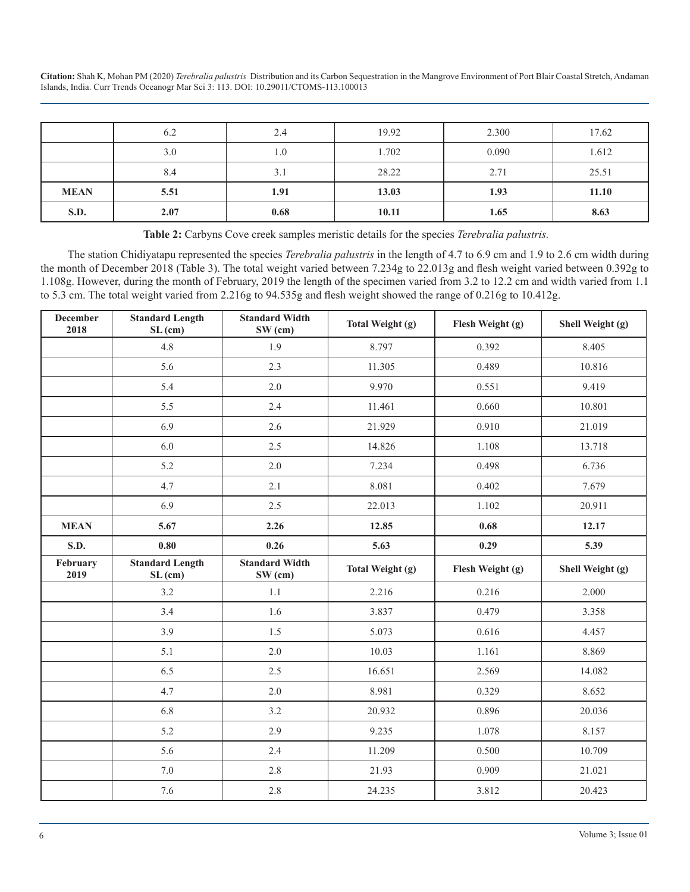|             | 6.2  | 2.4  | 19.92 | 2.300 | 17.62 |
|-------------|------|------|-------|-------|-------|
|             | 3.0  | 1.0  | 1.702 | 0.090 | 1.612 |
|             | 8.4  | 3.1  | 28.22 | 2.71  | 25.51 |
| <b>MEAN</b> | 5.51 | 1.91 | 13.03 | 1.93  | 11.10 |
| S.D.        | 2.07 | 0.68 | 10.11 | 1.65  | 8.63  |

**Table 2:** Carbyns Cove creek samples meristic details for the species *Terebralia palustris.*

The station Chidiyatapu represented the species *Terebralia palustris* in the length of 4.7 to 6.9 cm and 1.9 to 2.6 cm width during the month of December 2018 (Table 3). The total weight varied between 7.234g to 22.013g and flesh weight varied between 0.392g to 1.108g. However, during the month of February, 2019 the length of the specimen varied from 3.2 to 12.2 cm and width varied from 1.1 to 5.3 cm. The total weight varied from 2.216g to 94.535g and flesh weight showed the range of 0.216g to 10.412g.

| <b>December</b><br>2018 | <b>Standard Length</b><br>SL (cm) | <b>Standard Width</b><br>$SW$ (cm) | Total Weight (g)        | Flesh Weight (g) | Shell Weight (g) |
|-------------------------|-----------------------------------|------------------------------------|-------------------------|------------------|------------------|
|                         | 4.8                               | 1.9                                | 8.797                   | 0.392            | 8.405            |
|                         | 5.6                               | 2.3                                | 11.305                  | 0.489            | 10.816           |
|                         | 5.4                               | 2.0                                | 9.970                   | 0.551            | 9.419            |
|                         | 5.5                               | 2.4                                | 11.461                  | 0.660            | 10.801           |
|                         | 6.9                               | 2.6                                | 21.929                  | 0.910            | 21.019           |
|                         | 6.0                               | 2.5                                | 14.826                  | 1.108            | 13.718           |
|                         | 5.2                               | 2.0                                | 7.234                   | 0.498            | 6.736            |
|                         | 4.7                               | 2.1                                | 8.081                   | 0.402            | 7.679            |
|                         | 6.9                               | 2.5                                | 22.013                  | 1.102            | 20.911           |
| <b>MEAN</b>             | 5.67                              | 2.26                               | 12.85                   | 0.68             | 12.17            |
| <b>S.D.</b>             | 0.80                              | 0.26                               | 5.63                    | 0.29             | 5.39             |
| February<br>2019        | <b>Standard Length</b><br>SL (cm) | <b>Standard Width</b><br>$SW$ (cm) | <b>Total Weight (g)</b> | Flesh Weight (g) | Shell Weight (g) |
|                         | 3.2                               | 1.1                                | 2.216                   | 0.216            | 2.000            |
|                         | 3.4                               | 1.6                                | 3.837                   | 0.479            | 3.358            |
|                         | 3.9                               | 1.5                                | 5.073                   | 0.616            | 4.457            |
|                         | 5.1                               | 2.0                                | 10.03                   | 1.161            | 8.869            |
|                         | 6.5                               | 2.5                                | 16.651                  | 2.569            | 14.082           |
|                         | 4.7                               | 2.0                                | 8.981                   | 0.329            | 8.652            |
|                         | 6.8                               | 3.2                                | 20.932                  | 0.896            | 20.036           |
|                         | 5.2                               | 2.9                                | 9.235                   | 1.078            | 8.157            |
|                         | 5.6                               | 2.4                                | 11.209                  | 0.500            | 10.709           |
|                         |                                   |                                    |                         |                  |                  |
|                         | $7.0\,$                           | 2.8                                | 21.93                   | 0.909            | 21.021           |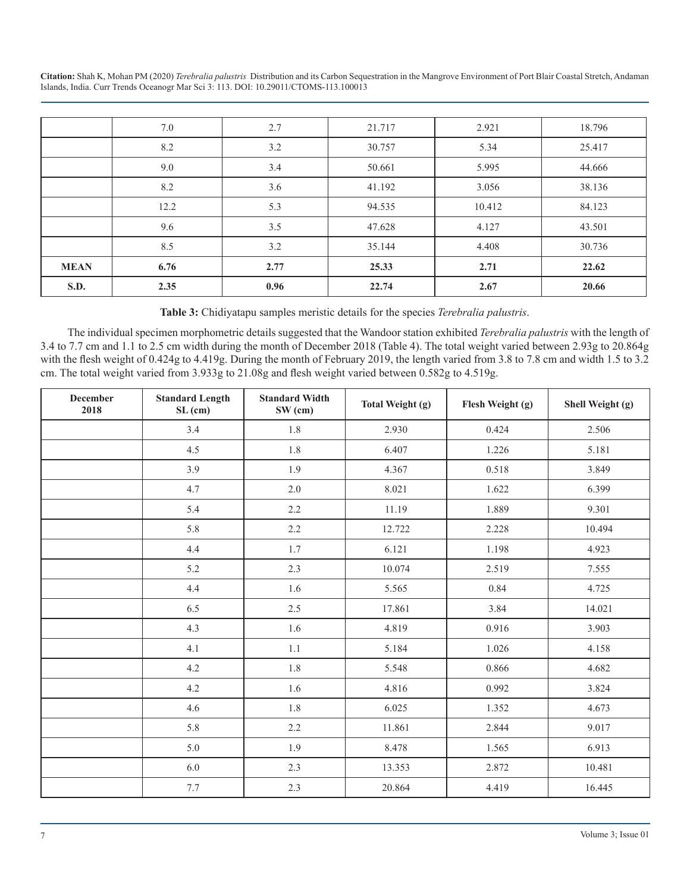|             | 7.0  | 2.7  | 21.717 | 2.921  | 18.796 |
|-------------|------|------|--------|--------|--------|
|             | 8.2  | 3.2  | 30.757 | 5.34   | 25.417 |
|             | 9.0  | 3.4  | 50.661 | 5.995  | 44.666 |
|             | 8.2  | 3.6  | 41.192 | 3.056  | 38.136 |
|             | 12.2 | 5.3  | 94.535 | 10.412 | 84.123 |
|             | 9.6  | 3.5  | 47.628 | 4.127  | 43.501 |
|             | 8.5  | 3.2  | 35.144 | 4.408  | 30.736 |
| <b>MEAN</b> | 6.76 | 2.77 | 25.33  | 2.71   | 22.62  |
| <b>S.D.</b> | 2.35 | 0.96 | 22.74  | 2.67   | 20.66  |

**Table 3:** Chidiyatapu samples meristic details for the species *Terebralia palustris*.

The individual specimen morphometric details suggested that the Wandoor station exhibited *Terebralia palustris* with the length of 3.4 to 7.7 cm and 1.1 to 2.5 cm width during the month of December 2018 (Table 4). The total weight varied between 2.93g to 20.864g with the flesh weight of 0.424g to 4.419g. During the month of February 2019, the length varied from 3.8 to 7.8 cm and width 1.5 to 3.2 cm. The total weight varied from 3.933g to 21.08g and flesh weight varied between 0.582g to 4.519g.

| <b>December</b><br>2018 | <b>Standard Length</b><br>SL (cm) | <b>Standard Width</b><br>$SW$ (cm) | <b>Total Weight (g)</b> | Flesh Weight (g) | Shell Weight (g) |
|-------------------------|-----------------------------------|------------------------------------|-------------------------|------------------|------------------|
|                         | 3.4                               | 1.8                                | 2.930                   | 0.424            | 2.506            |
|                         | 4.5                               | 1.8                                | 6.407                   | 1.226            | 5.181            |
|                         | 3.9                               | 1.9                                | 4.367                   | 0.518            | 3.849            |
|                         | 4.7                               | 2.0                                | 8.021                   | 1.622            | 6.399            |
|                         | 5.4                               | 2.2                                | 11.19                   | 1.889            | 9.301            |
|                         | 5.8                               | 2.2                                | 12.722                  | 2.228            | 10.494           |
|                         | 4.4                               | 1.7                                | 6.121                   | 1.198            | 4.923            |
|                         | 5.2                               | 2.3                                | 10.074                  | 2.519            | 7.555            |
|                         | 4.4                               | 1.6                                | 5.565                   | 0.84             | 4.725            |
|                         | 6.5                               | 2.5                                | 17.861                  | 3.84             | 14.021           |
|                         | 4.3                               | 1.6                                | 4.819                   | 0.916            | 3.903            |
|                         | 4.1                               | 1.1                                | 5.184                   | 1.026            | 4.158            |
|                         | 4.2                               | 1.8                                | 5.548                   | 0.866            | 4.682            |
|                         | 4.2                               | 1.6                                | 4.816                   | 0.992            | 3.824            |
|                         | 4.6                               | 1.8                                | 6.025                   | 1.352            | 4.673            |
|                         | 5.8                               | 2.2                                | 11.861                  | 2.844            | 9.017            |
|                         | $5.0\,$                           | 1.9                                | 8.478                   | 1.565            | 6.913            |
|                         | 6.0                               | 2.3                                | 13.353                  | 2.872            | 10.481           |
|                         | 7.7                               | 2.3                                | 20.864                  | 4.419            | 16.445           |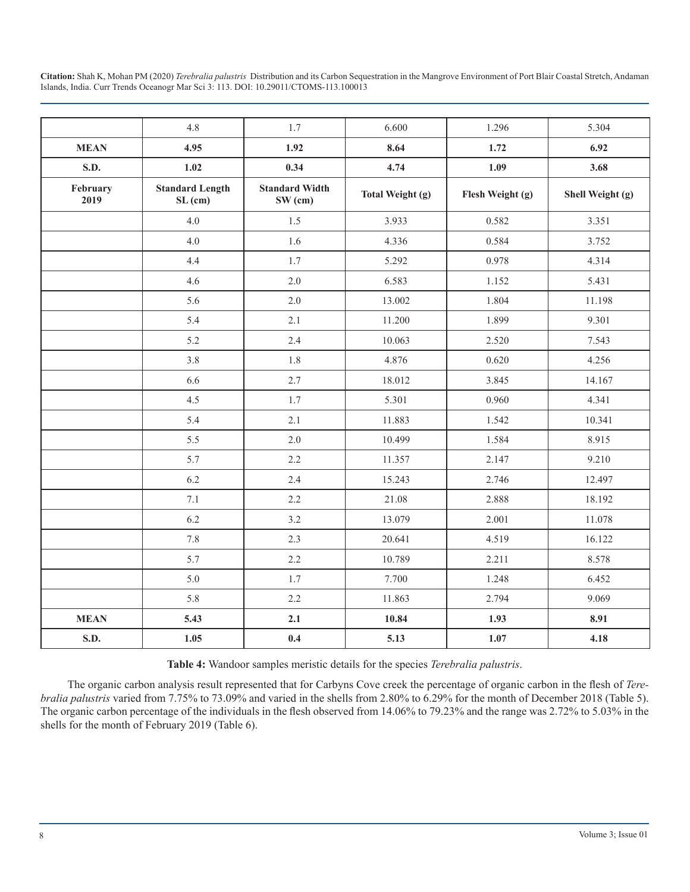|                  | 4.8                               | 1.7                              | 6.600            | 1.296            | 5.304            |
|------------------|-----------------------------------|----------------------------------|------------------|------------------|------------------|
| <b>MEAN</b>      | 4.95                              | 1.92                             | 8.64             | 1.72             | 6.92             |
| S.D.             | $1.02$                            | 0.34                             | 4.74             | 1.09             | 3.68             |
| February<br>2019 | <b>Standard Length</b><br>SL (cm) | <b>Standard Width</b><br>SW (cm) | Total Weight (g) | Flesh Weight (g) | Shell Weight (g) |
|                  | 4.0                               | 1.5                              | 3.933            | 0.582            | 3.351            |
|                  | $4.0\,$                           | 1.6                              | 4.336            | 0.584            | 3.752            |
|                  | 4.4                               | 1.7                              | 5.292            | 0.978            | 4.314            |
|                  | 4.6                               | $2.0$                            | 6.583            | 1.152            | 5.431            |
|                  | 5.6                               | 2.0                              | 13.002           | 1.804            | 11.198           |
|                  | 5.4                               | 2.1                              | 11.200           | 1.899            | 9.301            |
|                  | 5.2                               | 2.4                              | 10.063           | 2.520            | 7.543            |
|                  | 3.8                               | 1.8                              | 4.876            | 0.620            | 4.256            |
|                  | 6.6                               | 2.7                              | 18.012           | 3.845            | 14.167           |
|                  | 4.5                               | 1.7                              | 5.301            | 0.960            | 4.341            |
|                  | 5.4                               | 2.1                              | 11.883           | 1.542            | 10.341           |
|                  | 5.5                               | 2.0                              | 10.499           | 1.584            | 8.915            |
|                  | 5.7                               | 2.2                              | 11.357           | 2.147            | 9.210            |
|                  | 6.2                               | 2.4                              | 15.243           | 2.746            | 12.497           |
|                  | 7.1                               | 2.2                              | 21.08            | 2.888            | 18.192           |
|                  | 6.2                               | 3.2                              | 13.079           | 2.001            | 11.078           |
|                  | 7.8                               | 2.3                              | 20.641           | 4.519            | 16.122           |
|                  | 5.7                               | 2.2                              | 10.789           | 2.211            | 8.578            |
|                  | 5.0                               | 1.7                              | 7.700            | 1.248            | 6.452            |
|                  | 5.8                               | 2.2                              | 11.863           | 2.794            | 9.069            |
| <b>MEAN</b>      | 5.43                              | 2.1                              | 10.84            | 1.93             | 8.91             |
| S.D.             | 1.05                              | 0.4                              | 5.13             | 1.07             | 4.18             |

**Table 4:** Wandoor samples meristic details for the species *Terebralia palustris*.

The organic carbon analysis result represented that for Carbyns Cove creek the percentage of organic carbon in the flesh of *Terebralia palustris* varied from 7.75% to 73.09% and varied in the shells from 2.80% to 6.29% for the month of December 2018 (Table 5). The organic carbon percentage of the individuals in the flesh observed from 14.06% to 79.23% and the range was 2.72% to 5.03% in the shells for the month of February 2019 (Table 6).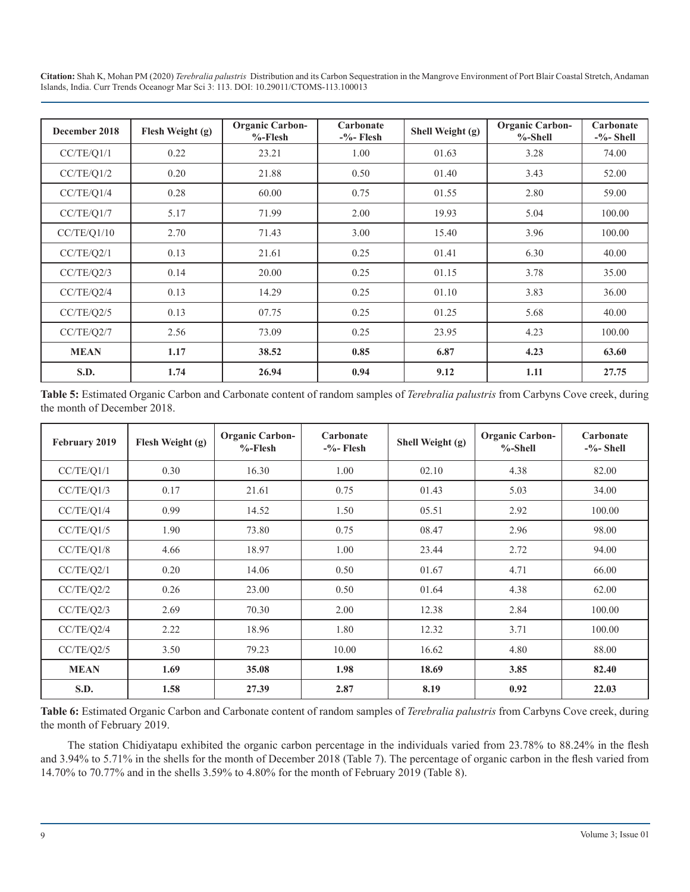| December 2018 | Flesh Weight (g) | <b>Organic Carbon-</b><br>$%$ -Flesh | Carbonate<br>$-$ %-Flesh | Shell Weight (g) | <b>Organic Carbon-</b><br>$%$ -Shell | Carbonate<br>$-$ %-Shell |
|---------------|------------------|--------------------------------------|--------------------------|------------------|--------------------------------------|--------------------------|
| CC/TE/Q1/1    | 0.22             | 23.21                                | 1.00                     | 01.63            | 3.28                                 | 74.00                    |
| CC/TE/Q1/2    | 0.20             | 21.88                                | 0.50                     | 01.40            | 3.43                                 | 52.00                    |
| CC/TE/O1/4    | 0.28             | 60.00                                | 0.75                     | 01.55            | 2.80                                 | 59.00                    |
| CC/TE/Q1/7    | 5.17             | 71.99                                | 2.00                     | 19.93            | 5.04                                 | 100.00                   |
| CC/TE/Q1/10   | 2.70             | 71.43                                | 3.00                     | 15.40            | 3.96                                 | 100.00                   |
| CC/TE/Q2/1    | 0.13             | 21.61                                | 0.25                     | 01.41            | 6.30                                 | 40.00                    |
| CC/TE/Q2/3    | 0.14             | 20.00                                | 0.25                     | 01.15            | 3.78                                 | 35.00                    |
| CC/TE/Q2/4    | 0.13             | 14.29                                | 0.25                     | 01.10            | 3.83                                 | 36.00                    |
| CC/TE/Q2/5    | 0.13             | 07.75                                | 0.25                     | 01.25            | 5.68                                 | 40.00                    |
| CC/TE/Q2/7    | 2.56             | 73.09                                | 0.25                     | 23.95            | 4.23                                 | 100.00                   |
| <b>MEAN</b>   | 1.17             | 38.52                                | 0.85                     | 6.87             | 4.23                                 | 63.60                    |
| S.D.          | 1.74             | 26.94                                | 0.94                     | 9.12             | 1.11                                 | 27.75                    |

**Table 5:** Estimated Organic Carbon and Carbonate content of random samples of *Terebralia palustris* from Carbyns Cove creek, during the month of December 2018.

| February 2019 | Flesh Weight (g) | <b>Organic Carbon-</b><br>$%$ -Flesh | Carbonate<br>$-$ %-Flesh | Shell Weight (g) | <b>Organic Carbon-</b><br>$%$ -Shell | Carbonate<br>$-$ %-Shell |
|---------------|------------------|--------------------------------------|--------------------------|------------------|--------------------------------------|--------------------------|
| CC/TE/Q1/1    | 0.30             | 16.30                                | 1.00                     | 02.10            | 4.38                                 | 82.00                    |
| CC/TE/Q1/3    | 0.17             | 21.61                                | 0.75                     | 01.43            | 5.03                                 | 34.00                    |
| CC/TE/Q1/4    | 0.99             | 14.52                                | 1.50                     | 05.51            | 2.92                                 | 100.00                   |
| CC/TE/Q1/5    | 1.90             | 73.80                                | 0.75                     | 08.47            | 2.96                                 | 98.00                    |
| CC/TE/Q1/8    | 4.66             | 18.97                                | 1.00                     | 23.44            | 2.72                                 | 94.00                    |
| CC/TE/Q2/1    | 0.20             | 14.06                                | 0.50                     | 01.67            | 4.71                                 | 66.00                    |
| CC/TE/Q2/2    | 0.26             | 23.00                                | 0.50                     | 01.64            | 4.38                                 | 62.00                    |
| CC/TE/Q2/3    | 2.69             | 70.30                                | 2.00                     | 12.38            | 2.84                                 | 100.00                   |
| CC/TE/Q2/4    | 2.22             | 18.96                                | 1.80                     | 12.32            | 3.71                                 | 100.00                   |
| CC/TE/Q2/5    | 3.50             | 79.23                                | 10.00                    | 16.62            | 4.80                                 | 88.00                    |
| <b>MEAN</b>   | 1.69             | 35.08                                | 1.98                     | 18.69            | 3.85                                 | 82.40                    |
| S.D.          | 1.58             | 27.39                                | 2.87                     | 8.19             | 0.92                                 | 22.03                    |

**Table 6:** Estimated Organic Carbon and Carbonate content of random samples of *Terebralia palustris* from Carbyns Cove creek, during the month of February 2019.

The station Chidiyatapu exhibited the organic carbon percentage in the individuals varied from 23.78% to 88.24% in the flesh and 3.94% to 5.71% in the shells for the month of December 2018 (Table 7). The percentage of organic carbon in the flesh varied from 14.70% to 70.77% and in the shells 3.59% to 4.80% for the month of February 2019 (Table 8).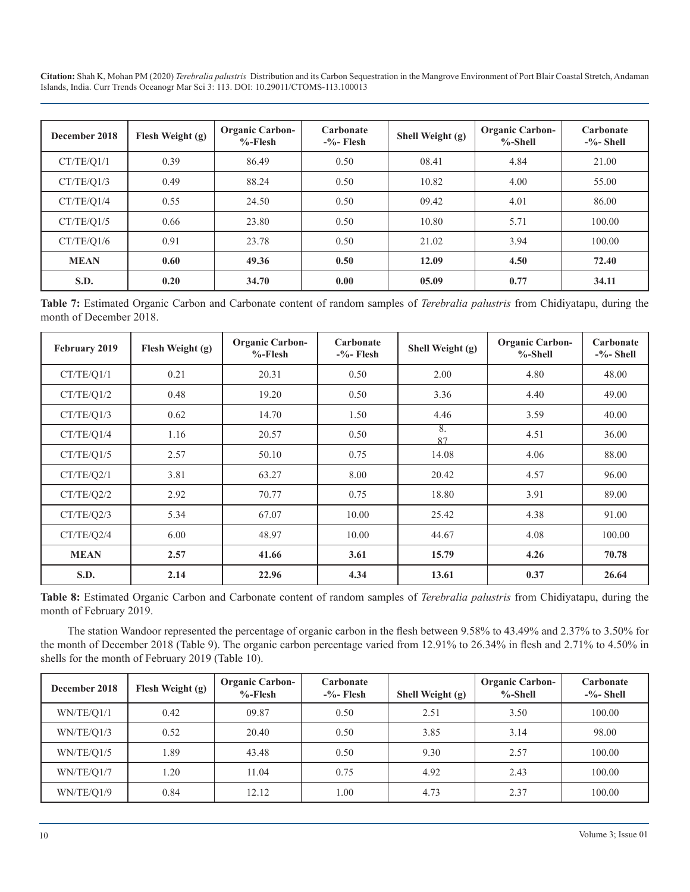| December 2018 | Flesh Weight (g) | <b>Organic Carbon-</b><br>$%$ -Flesh | Carbonate<br>$-$ %-Flesh | Shell Weight (g) | <b>Organic Carbon-</b><br>$%$ -Shell | Carbonate<br>$-$ %-Shell |
|---------------|------------------|--------------------------------------|--------------------------|------------------|--------------------------------------|--------------------------|
| CT/TE/Q1/1    | 0.39             | 86.49                                | 0.50                     | 08.41            | 4.84                                 | 21.00                    |
| CT/TE/01/3    | 0.49             | 88.24                                | 0.50                     | 10.82            | 4.00                                 | 55.00                    |
| CT/TE/Q1/4    | 0.55             | 24.50                                | 0.50                     | 09.42            | 4.01                                 | 86.00                    |
| CT/TE/Q1/5    | 0.66             | 23.80                                | 0.50                     | 10.80            | 5.71                                 | 100.00                   |
| CT/TE/Q1/6    | 0.91             | 23.78                                | 0.50                     | 21.02            | 3.94                                 | 100.00                   |
| <b>MEAN</b>   | 0.60             | 49.36                                | 0.50                     | 12.09            | 4.50                                 | 72.40                    |
| S.D.          | 0.20             | 34.70                                | 0.00                     | 05.09            | 0.77                                 | 34.11                    |

**Table 7:** Estimated Organic Carbon and Carbonate content of random samples of *Terebralia palustris* from Chidiyatapu, during the month of December 2018.

| February 2019 | Flesh Weight (g) | <b>Organic Carbon-</b><br>$%$ -Flesh | Carbonate<br>$-$ %-Flesh | Shell Weight (g) | <b>Organic Carbon-</b><br>$%$ -Shell | Carbonate<br>$-$ %-Shell |
|---------------|------------------|--------------------------------------|--------------------------|------------------|--------------------------------------|--------------------------|
| CT/TE/Q1/1    | 0.21             | 20.31                                | 0.50                     | 2.00             | 4.80                                 | 48.00                    |
| CT/TE/Q1/2    | 0.48             | 19.20                                | 0.50                     | 3.36             | 4.40                                 | 49.00                    |
| CT/TE/Q1/3    | 0.62             | 14.70                                | 1.50                     | 4.46             | 3.59                                 | 40.00                    |
| CT/TE/Q1/4    | 1.16             | 20.57                                | 0.50                     | 8.<br>87         | 4.51                                 | 36.00                    |
| CT/TE/Q1/5    | 2.57             | 50.10                                | 0.75                     | 14.08            | 4.06                                 | 88.00                    |
| CT/TE/O2/1    | 3.81             | 63.27                                | 8.00                     | 20.42            | 4.57                                 | 96.00                    |
| CT/TE/Q2/2    | 2.92             | 70.77                                | 0.75                     | 18.80            | 3.91                                 | 89.00                    |
| CT/TE/Q2/3    | 5.34             | 67.07                                | 10.00                    | 25.42            | 4.38                                 | 91.00                    |
| CT/TE/Q2/4    | 6.00             | 48.97                                | 10.00                    | 44.67            | 4.08                                 | 100.00                   |
| <b>MEAN</b>   | 2.57             | 41.66                                | 3.61                     | 15.79            | 4.26                                 | 70.78                    |
| S.D.          | 2.14             | 22.96                                | 4.34                     | 13.61            | 0.37                                 | 26.64                    |

**Table 8:** Estimated Organic Carbon and Carbonate content of random samples of *Terebralia palustris* from Chidiyatapu, during the month of February 2019.

The station Wandoor represented the percentage of organic carbon in the flesh between 9.58% to 43.49% and 2.37% to 3.50% for the month of December 2018 (Table 9). The organic carbon percentage varied from 12.91% to 26.34% in flesh and 2.71% to 4.50% in shells for the month of February 2019 (Table 10).

| December 2018 | Flesh Weight (g) | <b>Organic Carbon-</b><br>$%$ -Flesh | Carbonate<br>$-$ %-Flesh | Shell Weight $(g)$ | <b>Organic Carbon-</b><br>$%$ -Shell | Carbonate<br>$-$ %-Shell |
|---------------|------------------|--------------------------------------|--------------------------|--------------------|--------------------------------------|--------------------------|
| WN/TE/01/1    | 0.42             | 09.87                                | 0.50                     | 2.51               | 3.50                                 | 100.00                   |
| WN/TE/O1/3    | 0.52             | 20.40                                | 0.50                     | 3.85               | 3.14                                 | 98.00                    |
| WN/TE/O1/5    | 1.89             | 43.48                                | 0.50                     | 9.30               | 2.57                                 | 100.00                   |
| WN/TE/O1/7    | 1.20             | 11.04                                | 0.75                     | 4.92               | 2.43                                 | 100.00                   |
| WN/TE/Q1/9    | 0.84             | 12.12                                | 00.                      | 4.73               | 2.37                                 | 100.00                   |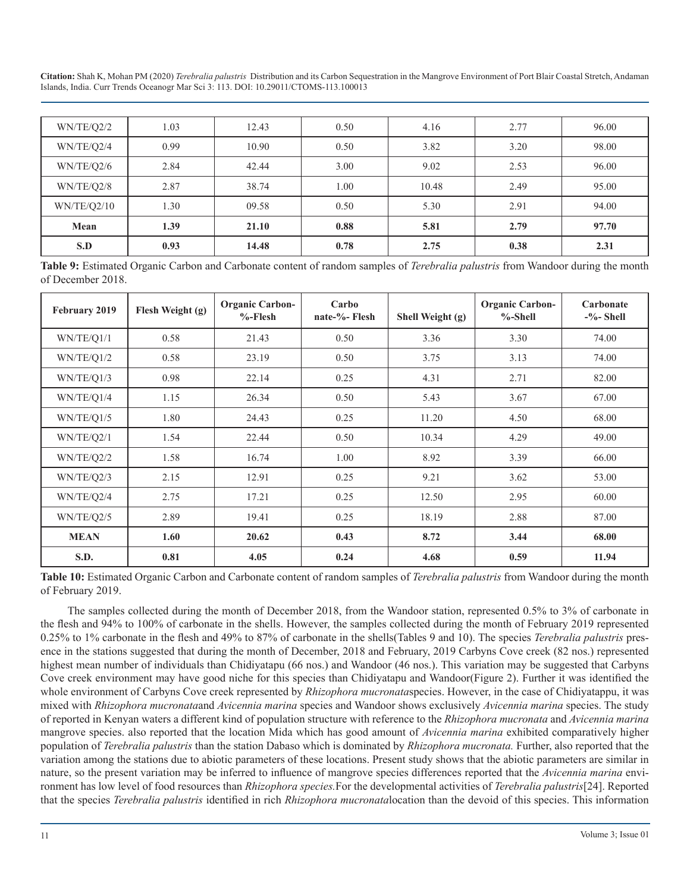| WN/TE/Q2/2  | 1.03 | 12.43 | 0.50 | 4.16  | 2.77 | 96.00 |
|-------------|------|-------|------|-------|------|-------|
| WN/TE/Q2/4  | 0.99 | 10.90 | 0.50 | 3.82  | 3.20 | 98.00 |
| WN/TE/Q2/6  | 2.84 | 42.44 | 3.00 | 9.02  | 2.53 | 96.00 |
| WN/TE/Q2/8  | 2.87 | 38.74 | 00.1 | 10.48 | 2.49 | 95.00 |
| WN/TE/Q2/10 | 1.30 | 09.58 | 0.50 | 5.30  | 2.91 | 94.00 |
| Mean        | 1.39 | 21.10 | 0.88 | 5.81  | 2.79 | 97.70 |
| S.D         | 0.93 | 14.48 | 0.78 | 2.75  | 0.38 | 2.31  |

**Table 9:** Estimated Organic Carbon and Carbonate content of random samples of *Terebralia palustris* from Wandoor during the month of December 2018.

| <b>February 2019</b> | Flesh Weight (g) | <b>Organic Carbon-</b><br>$%$ -Flesh | Carbo<br>nate-%-Flesh | Shell Weight (g) | <b>Organic Carbon-</b><br>$%$ -Shell | Carbonate<br>$-$ %-Shell |
|----------------------|------------------|--------------------------------------|-----------------------|------------------|--------------------------------------|--------------------------|
| WN/TE/O1/1           | 0.58             | 21.43                                | 0.50                  | 3.36             | 3.30                                 | 74.00                    |
| WN/TE/Q1/2           | 0.58             | 23.19                                | 0.50                  | 3.75             | 3.13                                 | 74.00                    |
| WN/TE/Q1/3           | 0.98             | 22.14                                | 0.25                  | 4.31             | 2.71                                 | 82.00                    |
| WN/TE/Q1/4           | 1.15             | 26.34                                | 0.50                  | 5.43             | 3.67                                 | 67.00                    |
| WN/TE/Q1/5           | 1.80             | 24.43                                | 0.25                  | 11.20            | 4.50                                 | 68.00                    |
| WN/TE/Q2/1           | 1.54             | 22.44                                | 0.50                  | 10.34            | 4.29                                 | 49.00                    |
| WN/TE/Q2/2           | 1.58             | 16.74                                | 1.00                  | 8.92             | 3.39                                 | 66.00                    |
| WN/TE/Q2/3           | 2.15             | 12.91                                | 0.25                  | 9.21             | 3.62                                 | 53.00                    |
| WN/TE/Q2/4           | 2.75             | 17.21                                | 0.25                  | 12.50            | 2.95                                 | 60.00                    |
| WN/TE/Q2/5           | 2.89             | 19.41                                | 0.25                  | 18.19            | 2.88                                 | 87.00                    |
| <b>MEAN</b>          | 1.60             | 20.62                                | 0.43                  | 8.72             | 3.44                                 | 68.00                    |
| S.D.                 | 0.81             | 4.05                                 | 0.24                  | 4.68             | 0.59                                 | 11.94                    |

**Table 10:** Estimated Organic Carbon and Carbonate content of random samples of *Terebralia palustris* from Wandoor during the month of February 2019.

The samples collected during the month of December 2018, from the Wandoor station, represented 0.5% to 3% of carbonate in the flesh and 94% to 100% of carbonate in the shells. However, the samples collected during the month of February 2019 represented 0.25% to 1% carbonate in the flesh and 49% to 87% of carbonate in the shells(Tables 9 and 10). The species *Terebralia palustris* presence in the stations suggested that during the month of December, 2018 and February, 2019 Carbyns Cove creek (82 nos.) represented highest mean number of individuals than Chidiyatapu (66 nos.) and Wandoor (46 nos.). This variation may be suggested that Carbyns Cove creek environment may have good niche for this species than Chidiyatapu and Wandoor(Figure 2). Further it was identified the whole environment of Carbyns Cove creek represented by *Rhizophora mucronata*species. However, in the case of Chidiyatappu, it was mixed with *Rhizophora mucronata*and *Avicennia marina* species and Wandoor shows exclusively *Avicennia marina* species. The study of reported in Kenyan waters a different kind of population structure with reference to the *Rhizophora mucronata* and *Avicennia marina*  mangrove species. also reported that the location Mida which has good amount of *Avicennia marina* exhibited comparatively higher population of *Terebralia palustris* than the station Dabaso which is dominated by *Rhizophora mucronata.* Further, also reported that the variation among the stations due to abiotic parameters of these locations. Present study shows that the abiotic parameters are similar in nature, so the present variation may be inferred to influence of mangrove species differences reported that the *Avicennia marina* environment has low level of food resources than *Rhizophora species.*For the developmental activities of *Terebralia palustris*[24]. Reported that the species *Terebralia palustris* identified in rich *Rhizophora mucronata*location than the devoid of this species. This information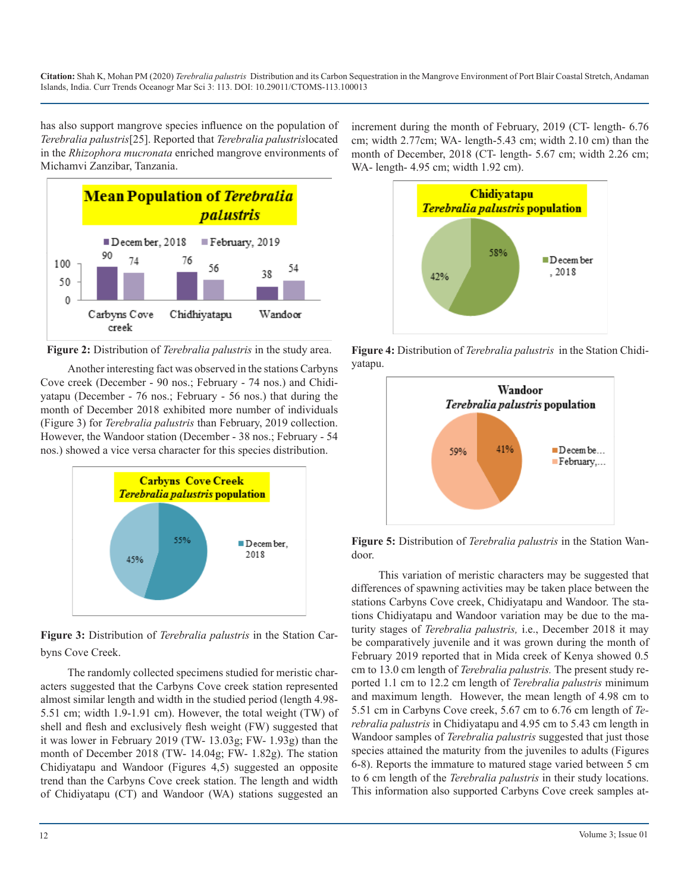has also support mangrove species influence on the population of *Terebralia palustris*[25]. Reported that *Terebralia palustris*located in the *Rhizophora mucronata* enriched mangrove environments of Michamvi Zanzibar, Tanzania.



**Figure 2:** Distribution of *Terebralia palustris* in the study area.

Another interesting fact was observed in the stations Carbyns Cove creek (December - 90 nos.; February - 74 nos.) and Chidiyatapu (December - 76 nos.; February - 56 nos.) that during the month of December 2018 exhibited more number of individuals (Figure 3) for *Terebralia palustris* than February, 2019 collection. However, the Wandoor station (December - 38 nos.; February - 54 nos.) showed a vice versa character for this species distribution.



**Figure 3:** Distribution of *Terebralia palustris* in the Station Carbyns Cove Creek.

The randomly collected specimens studied for meristic characters suggested that the Carbyns Cove creek station represented almost similar length and width in the studied period (length 4.98- 5.51 cm; width 1.9-1.91 cm). However, the total weight (TW) of shell and flesh and exclusively flesh weight (FW) suggested that it was lower in February 2019 (TW- 13.03g; FW- 1.93g) than the month of December 2018 (TW- 14.04g; FW- 1.82g). The station Chidiyatapu and Wandoor (Figures 4,5) suggested an opposite trend than the Carbyns Cove creek station. The length and width of Chidiyatapu (CT) and Wandoor (WA) stations suggested an

increment during the month of February, 2019 (CT- length- 6.76 cm; width 2.77cm; WA- length-5.43 cm; width 2.10 cm) than the month of December, 2018 (CT- length- 5.67 cm; width 2.26 cm; WA- length- 4.95 cm; width 1.92 cm).



**Figure 4:** Distribution of *Terebralia palustris* in the Station Chidiyatapu.



**Figure 5:** Distribution of *Terebralia palustris* in the Station Wandoor.

This variation of meristic characters may be suggested that differences of spawning activities may be taken place between the stations Carbyns Cove creek, Chidiyatapu and Wandoor. The stations Chidiyatapu and Wandoor variation may be due to the maturity stages of *Terebralia palustris,* i.e., December 2018 it may be comparatively juvenile and it was grown during the month of February 2019 reported that in Mida creek of Kenya showed 0.5 cm to 13.0 cm length of *Terebralia palustris.* The present study reported 1.1 cm to 12.2 cm length of *Terebralia palustris* minimum and maximum length. However, the mean length of 4.98 cm to 5.51 cm in Carbyns Cove creek, 5.67 cm to 6.76 cm length of *Terebralia palustris* in Chidiyatapu and 4.95 cm to 5.43 cm length in Wandoor samples of *Terebralia palustris* suggested that just those species attained the maturity from the juveniles to adults (Figures 6-8). Reports the immature to matured stage varied between 5 cm to 6 cm length of the *Terebralia palustris* in their study locations. This information also supported Carbyns Cove creek samples at-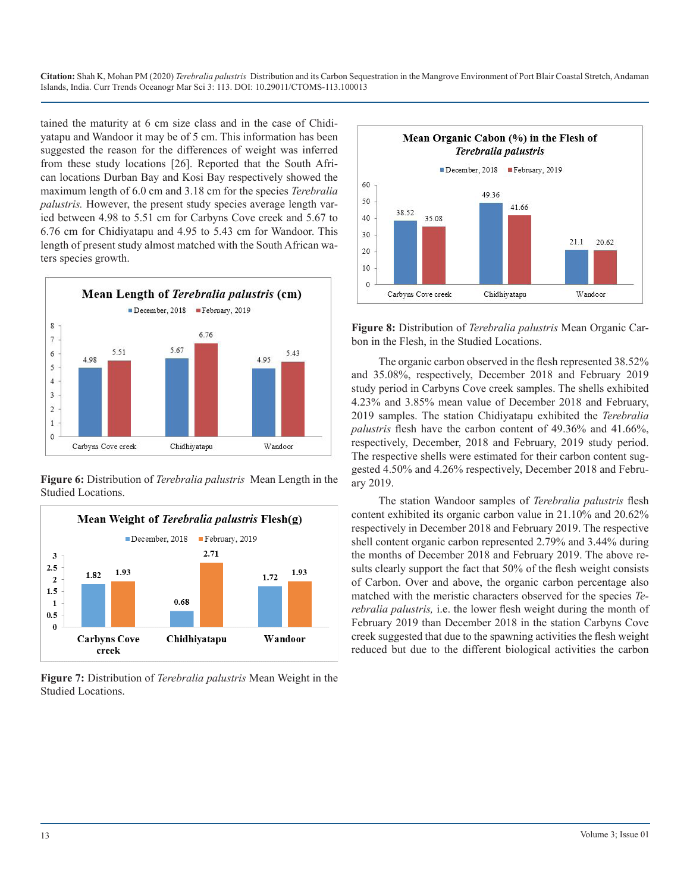tained the maturity at 6 cm size class and in the case of Chidiyatapu and Wandoor it may be of 5 cm. This information has been suggested the reason for the differences of weight was inferred from these study locations [26]. Reported that the South African locations Durban Bay and Kosi Bay respectively showed the maximum length of 6.0 cm and 3.18 cm for the species *Terebralia palustris.* However, the present study species average length varied between 4.98 to 5.51 cm for Carbyns Cove creek and 5.67 to 6.76 cm for Chidiyatapu and 4.95 to 5.43 cm for Wandoor. This length of present study almost matched with the South African waters species growth.



**Figure 6:** Distribution of *Terebralia palustris* Mean Length in the Studied Locations.



**Figure 7:** Distribution of *Terebralia palustris* Mean Weight in the Studied Locations.



**Figure 8:** Distribution of *Terebralia palustris* Mean Organic Carbon in the Flesh, in the Studied Locations.

The organic carbon observed in the flesh represented 38.52% and 35.08%, respectively, December 2018 and February 2019 study period in Carbyns Cove creek samples. The shells exhibited 4.23% and 3.85% mean value of December 2018 and February, 2019 samples. The station Chidiyatapu exhibited the *Terebralia palustris* flesh have the carbon content of 49.36% and 41.66%, respectively, December, 2018 and February, 2019 study period. The respective shells were estimated for their carbon content suggested 4.50% and 4.26% respectively, December 2018 and February 2019.

The station Wandoor samples of *Terebralia palustris* flesh content exhibited its organic carbon value in 21.10% and 20.62% respectively in December 2018 and February 2019. The respective shell content organic carbon represented 2.79% and 3.44% during the months of December 2018 and February 2019. The above results clearly support the fact that 50% of the flesh weight consists of Carbon. Over and above, the organic carbon percentage also matched with the meristic characters observed for the species *Terebralia palustris,* i.e. the lower flesh weight during the month of February 2019 than December 2018 in the station Carbyns Cove creek suggested that due to the spawning activities the flesh weight reduced but due to the different biological activities the carbon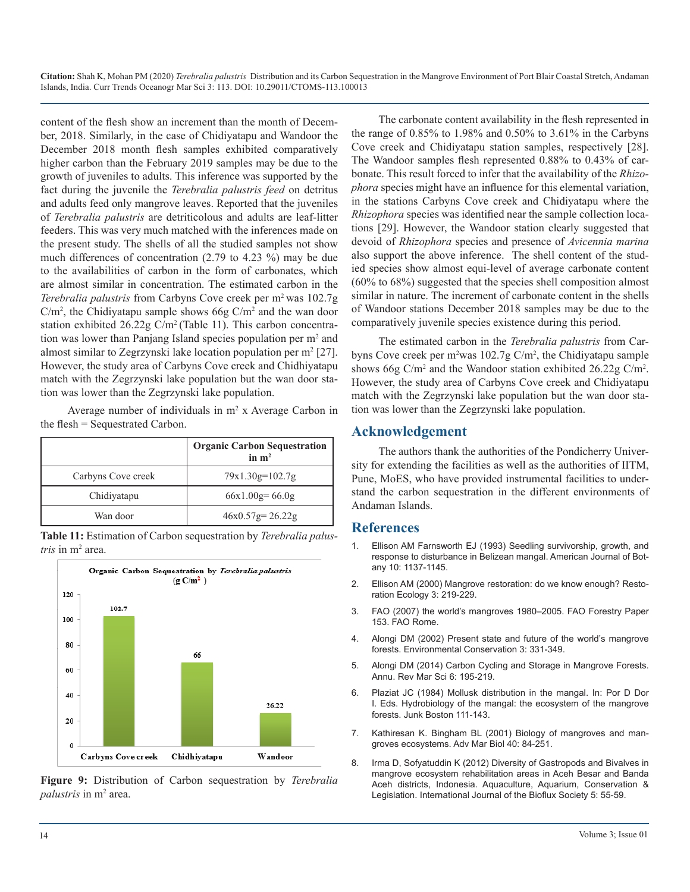content of the flesh show an increment than the month of December, 2018. Similarly, in the case of Chidiyatapu and Wandoor the December 2018 month flesh samples exhibited comparatively higher carbon than the February 2019 samples may be due to the growth of juveniles to adults. This inference was supported by the fact during the juvenile the *Terebralia palustris feed* on detritus and adults feed only mangrove leaves. Reported that the juveniles of *Terebralia palustris* are detriticolous and adults are leaf-litter feeders. This was very much matched with the inferences made on the present study. The shells of all the studied samples not show much differences of concentration (2.79 to 4.23 %) may be due to the availabilities of carbon in the form of carbonates, which are almost similar in concentration. The estimated carbon in the *Terebralia palustris* from Carbyns Cove creek per m<sup>2</sup> was 102.7g  $C/m^2$ , the Chidiyatapu sample shows 66g  $C/m^2$  and the wan door station exhibited 26.22g C/m2 (Table 11). This carbon concentration was lower than Panjang Island species population per m<sup>2</sup> and almost similar to Zegrzynski lake location population per m<sup>2</sup> [27]. However, the study area of Carbyns Cove creek and Chidhiyatapu match with the Zegrzynski lake population but the wan door station was lower than the Zegrzynski lake population.

Average number of individuals in  $m<sup>2</sup>$  x Average Carbon in the flesh = Sequestrated Carbon.

|                    | <b>Organic Carbon Sequestration</b><br>in $m2$ |
|--------------------|------------------------------------------------|
| Carbyns Cove creek | $79x1.30g=102.7g$                              |
| Chidiyatapu        | $66x1.00g=66.0g$                               |
| Wan door           | $46x0.57g=26.22g$                              |

**Table 11:** Estimation of Carbon sequestration by *Terebralia palustris* in m2 area.



**Figure 9:** Distribution of Carbon sequestration by *Terebralia palustris* in m2 area.

The carbonate content availability in the flesh represented in the range of 0.85% to 1.98% and 0.50% to 3.61% in the Carbyns Cove creek and Chidiyatapu station samples, respectively [28]. The Wandoor samples flesh represented 0.88% to 0.43% of carbonate. This result forced to infer that the availability of the *Rhizophora* species might have an influence for this elemental variation, in the stations Carbyns Cove creek and Chidiyatapu where the *Rhizophora* species was identified near the sample collection locations [29]. However, the Wandoor station clearly suggested that devoid of *Rhizophora* species and presence of *Avicennia marina*  also support the above inference. The shell content of the studied species show almost equi-level of average carbonate content (60% to 68%) suggested that the species shell composition almost similar in nature. The increment of carbonate content in the shells of Wandoor stations December 2018 samples may be due to the comparatively juvenile species existence during this period.

The estimated carbon in the *Terebralia palustris* from Carbyns Cove creek per m<sup>2</sup>was 102.7g C/m<sup>2</sup>, the Chidiyatapu sample shows 66g C/m<sup>2</sup> and the Wandoor station exhibited  $26.22g$  C/m<sup>2</sup>. However, the study area of Carbyns Cove creek and Chidiyatapu match with the Zegrzynski lake population but the wan door station was lower than the Zegrzynski lake population.

#### **Acknowledgement**

The authors thank the authorities of the Pondicherry University for extending the facilities as well as the authorities of IITM, Pune, MoES, who have provided instrumental facilities to understand the carbon sequestration in the different environments of Andaman Islands.

#### **References**

- 1. [Ellison AM Farnsworth EJ \(1993\) Seedling survivorship, growth, and](https://bsapubs.onlinelibrary.wiley.com/doi/abs/10.1002/j.1537-2197.1993.tb15345.x)  response to disturbance in Belizean mangal. American Journal of Bot[any 10: 1137-1145.](https://bsapubs.onlinelibrary.wiley.com/doi/abs/10.1002/j.1537-2197.1993.tb15345.x)
- 2. [Ellison AM \(2000\) Mangrove restoration: do we know enough? Resto](https://onlinelibrary.wiley.com/doi/abs/10.1046/j.1526-100x.2000.80033.x)ration Ecology 3: 219-229.
- 3. [FAO \(2007\) the world's mangroves 1980–2005. FAO Forestry Paper](http://www.fao.org/3/a1427e/a1427e00.htm)  153. FAO Rome.
- 4. [Alongi DM \(2002\) Present state and future of the world's mangrove](https://www.cambridge.org/core/journals/environmental-conservation/article/present-state-and-future-of-the-worlds-mangrove-forests/0E3D6B0DF6EE2E9DBD48582964AD492A)  forests. Environmental Conservation 3: 331-349.
- 5. [Alongi DM \(2014\) Carbon Cycling and Storage in Mangrove Forests.](https://pubmed.ncbi.nlm.nih.gov/24405426/)  Annu. Rev Mar Sci 6: 195-219.
- 6. Plaziat JC (1984) Mollusk distribution in the mangal. In: Por D Dor I. Eds. Hydrobiology of the mangal: the ecosystem of the mangrove forests. Junk Boston 111-143.
- 7. [Kathiresan K. Bingham BL \(2001\) Biology of mangroves and man](https://www.researchgate.net/publication/222122749_Biology_of_Mangroves_and_Mangrove_Ecosystems)groves ecosystems. Adv Mar Biol 40: 84-251.
- 8. [Irma D, Sofyatuddin K \(2012\) Diversity of Gastropods and Bivalves in](http://www.bioflux.com.ro/docs/AACL_5.2.1.pdf)  mangrove ecosystem rehabilitation areas in Aceh Besar and Banda [Aceh districts, Indonesia. Aquaculture, Aquarium, Conservation &](http://www.bioflux.com.ro/docs/AACL_5.2.1.pdf)  [Legislation. International Journal of the Bioflux Society 5: 55-59](http://www.bioflux.com.ro/docs/AACL_5.2.1.pdf).